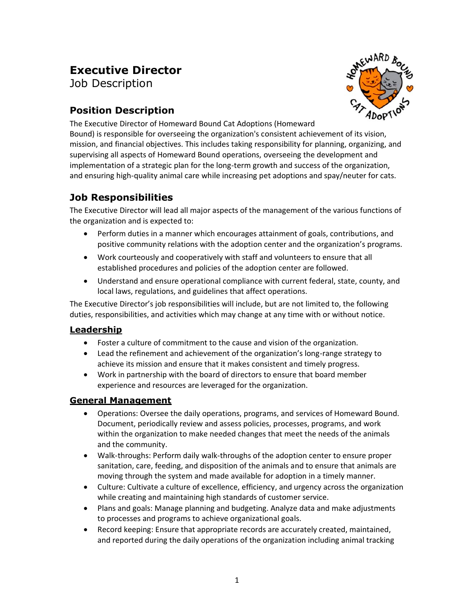# **Executive Director**

Job Description

# **Position Description**



The Executive Director of Homeward Bound Cat Adoptions (Homeward

Bound) is responsible for overseeing the organization's consistent achievement of its vision, mission, and financial objectives. This includes taking responsibility for planning, organizing, and supervising all aspects of Homeward Bound operations, overseeing the development and implementation of a strategic plan for the long-term growth and success of the organization, and ensuring high-quality animal care while increasing pet adoptions and spay/neuter for cats.

### **Job Responsibilities**

The Executive Director will lead all major aspects of the management of the various functions of the organization and is expected to:

- Perform duties in a manner which encourages attainment of goals, contributions, and positive community relations with the adoption center and the organization's programs.
- Work courteously and cooperatively with staff and volunteers to ensure that all established procedures and policies of the adoption center are followed.
- Understand and ensure operational compliance with current federal, state, county, and local laws, regulations, and guidelines that affect operations.

The Executive Director's job responsibilities will include, but are not limited to, the following duties, responsibilities, and activities which may change at any time with or without notice.

### **Leadership**

- Foster a culture of commitment to the cause and vision of the organization.
- Lead the refinement and achievement of the organization's long-range strategy to achieve its mission and ensure that it makes consistent and timely progress.
- Work in partnership with the board of directors to ensure that board member experience and resources are leveraged for the organization.

### **General Management**

- Operations: Oversee the daily operations, programs, and services of Homeward Bound. Document, periodically review and assess policies, processes, programs, and work within the organization to make needed changes that meet the needs of the animals and the community.
- Walk-throughs: Perform daily walk-throughs of the adoption center to ensure proper sanitation, care, feeding, and disposition of the animals and to ensure that animals are moving through the system and made available for adoption in a timely manner.
- Culture: Cultivate a culture of excellence, efficiency, and urgency across the organization while creating and maintaining high standards of customer service.
- Plans and goals: Manage planning and budgeting. Analyze data and make adjustments to processes and programs to achieve organizational goals.
- Record keeping: Ensure that appropriate records are accurately created, maintained, and reported during the daily operations of the organization including animal tracking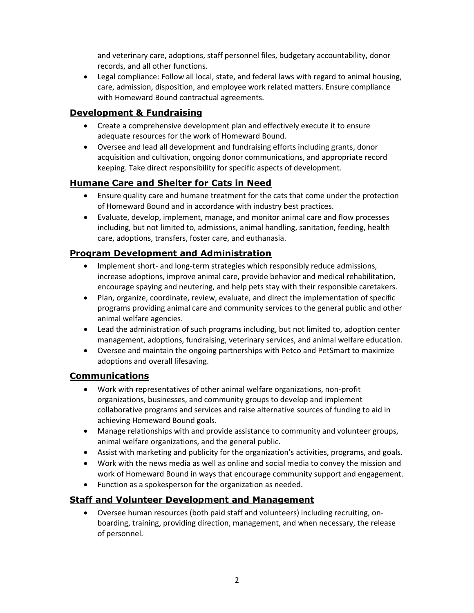and veterinary care, adoptions, staff personnel files, budgetary accountability, donor records, and all other functions.

• Legal compliance: Follow all local, state, and federal laws with regard to animal housing, care, admission, disposition, and employee work related matters. Ensure compliance with Homeward Bound contractual agreements.

#### **Development & Fundraising**

- Create a comprehensive development plan and effectively execute it to ensure adequate resources for the work of Homeward Bound.
- Oversee and lead all development and fundraising efforts including grants, donor acquisition and cultivation, ongoing donor communications, and appropriate record keeping. Take direct responsibility for specific aspects of development.

### **Humane Care and Shelter for Cats in Need**

- Ensure quality care and humane treatment for the cats that come under the protection of Homeward Bound and in accordance with industry best practices.
- Evaluate, develop, implement, manage, and monitor animal care and flow processes including, but not limited to, admissions, animal handling, sanitation, feeding, health care, adoptions, transfers, foster care, and euthanasia.

#### **Program Development and Administration**

- Implement short- and long-term strategies which responsibly reduce admissions, increase adoptions, improve animal care, provide behavior and medical rehabilitation, encourage spaying and neutering, and help pets stay with their responsible caretakers.
- Plan, organize, coordinate, review, evaluate, and direct the implementation of specific programs providing animal care and community services to the general public and other animal welfare agencies.
- Lead the administration of such programs including, but not limited to, adoption center management, adoptions, fundraising, veterinary services, and animal welfare education.
- Oversee and maintain the ongoing partnerships with Petco and PetSmart to maximize adoptions and overall lifesaving.

#### **Communications**

- Work with representatives of other animal welfare organizations, non-profit organizations, businesses, and community groups to develop and implement collaborative programs and services and raise alternative sources of funding to aid in achieving Homeward Bound goals.
- Manage relationships with and provide assistance to community and volunteer groups, animal welfare organizations, and the general public.
- Assist with marketing and publicity for the organization's activities, programs, and goals.
- Work with the news media as well as online and social media to convey the mission and work of Homeward Bound in ways that encourage community support and engagement.
- Function as a spokesperson for the organization as needed.

#### **Staff and Volunteer Development and Management**

• Oversee human resources (both paid staff and volunteers) including recruiting, onboarding, training, providing direction, management, and when necessary, the release of personnel.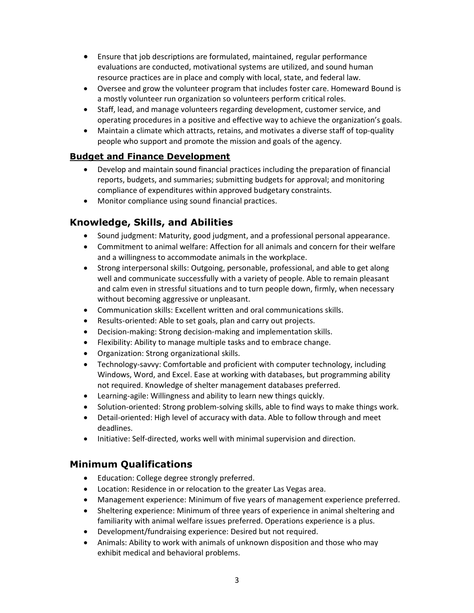- Ensure that job descriptions are formulated, maintained, regular performance evaluations are conducted, motivational systems are utilized, and sound human resource practices are in place and comply with local, state, and federal law.
- Oversee and grow the volunteer program that includes foster care. Homeward Bound is a mostly volunteer run organization so volunteers perform critical roles.
- Staff, lead, and manage volunteers regarding development, customer service, and operating procedures in a positive and effective way to achieve the organization's goals.
- Maintain a climate which attracts, retains, and motivates a diverse staff of top-quality people who support and promote the mission and goals of the agency.

### **Budget and Finance Development**

- Develop and maintain sound financial practices including the preparation of financial reports, budgets, and summaries; submitting budgets for approval; and monitoring compliance of expenditures within approved budgetary constraints.
- Monitor compliance using sound financial practices.

### **Knowledge, Skills, and Abilities**

- Sound judgment: Maturity, good judgment, and a professional personal appearance.
- Commitment to animal welfare: Affection for all animals and concern for their welfare and a willingness to accommodate animals in the workplace.
- Strong interpersonal skills: Outgoing, personable, professional, and able to get along well and communicate successfully with a variety of people. Able to remain pleasant and calm even in stressful situations and to turn people down, firmly, when necessary without becoming aggressive or unpleasant.
- Communication skills: Excellent written and oral communications skills.
- Results-oriented: Able to set goals, plan and carry out projects.
- Decision-making: Strong decision-making and implementation skills.
- Flexibility: Ability to manage multiple tasks and to embrace change.
- Organization: Strong organizational skills.
- Technology-savvy: Comfortable and proficient with computer technology, including Windows, Word, and Excel. Ease at working with databases, but programming ability not required. Knowledge of shelter management databases preferred.
- Learning-agile: Willingness and ability to learn new things quickly.
- Solution-oriented: Strong problem-solving skills, able to find ways to make things work.
- Detail-oriented: High level of accuracy with data. Able to follow through and meet deadlines.
- Initiative: Self-directed, works well with minimal supervision and direction.

### **Minimum Qualifications**

- Education: College degree strongly preferred.
- Location: Residence in or relocation to the greater Las Vegas area.
- Management experience: Minimum of five years of management experience preferred.
- Sheltering experience: Minimum of three years of experience in animal sheltering and familiarity with animal welfare issues preferred. Operations experience is a plus.
- Development/fundraising experience: Desired but not required.
- Animals: Ability to work with animals of unknown disposition and those who may exhibit medical and behavioral problems.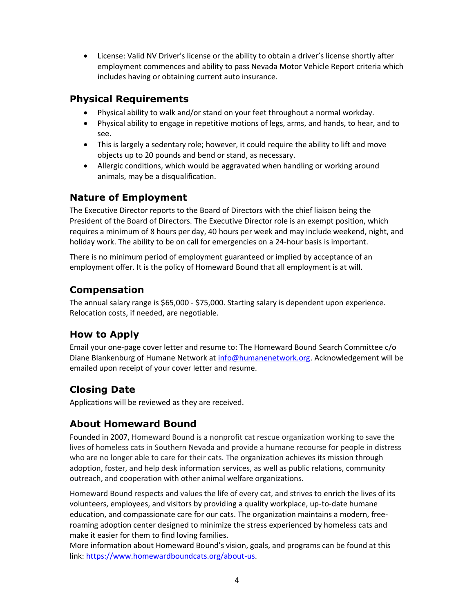• License: Valid NV Driver's license or the ability to obtain a driver's license shortly after employment commences and ability to pass Nevada Motor Vehicle Report criteria which includes having or obtaining current auto insurance.

# **Physical Requirements**

- Physical ability to walk and/or stand on your feet throughout a normal workday.
- Physical ability to engage in repetitive motions of legs, arms, and hands, to hear, and to see.
- This is largely a sedentary role; however, it could require the ability to lift and move objects up to 20 pounds and bend or stand, as necessary.
- Allergic conditions, which would be aggravated when handling or working around animals, may be a disqualification.

# **Nature of Employment**

The Executive Director reports to the Board of Directors with the chief liaison being the President of the Board of Directors. The Executive Director role is an exempt position, which requires a minimum of 8 hours per day, 40 hours per week and may include weekend, night, and holiday work. The ability to be on call for emergencies on a 24-hour basis is important.

There is no minimum period of employment guaranteed or implied by acceptance of an employment offer. It is the policy of Homeward Bound that all employment is at will.

# **Compensation**

The annual salary range is \$65,000 - \$75,000. Starting salary is dependent upon experience. Relocation costs, if needed, are negotiable.

# **How to Apply**

Email your one-page cover letter and resume to: The Homeward Bound Search Committee c/o Diane Blankenburg of Humane Network at [info@humanenetwork.org.](mailto:info@humanenetwork.orgg) Acknowledgement will be emailed upon receipt of your cover letter and resume.

# **Closing Date**

Applications will be reviewed as they are received.

# **About Homeward Bound**

Founded in 2007, Homeward Bound is a nonprofit cat rescue organization working to save the lives of homeless cats in Southern Nevada and provide a humane recourse for people in distress who are no longer able to care for their cats. The organization achieves its mission through adoption, foster, and help desk information services, as well as public relations, community outreach, and cooperation with other animal welfare organizations.

Homeward Bound respects and values the life of every cat, and strives to enrich the lives of its volunteers, employees, and visitors by providing a quality workplace, up-to-date humane education, and compassionate care for our cats. The organization maintains a modern, freeroaming adoption center designed to minimize the stress experienced by homeless cats and make it easier for them to find loving families.

More information about Homeward Bound's vision, goals, and programs can be found at this link: [https://www.homewardboundcats.org/about-us.](https://www.homewardboundcats.org/about-us)